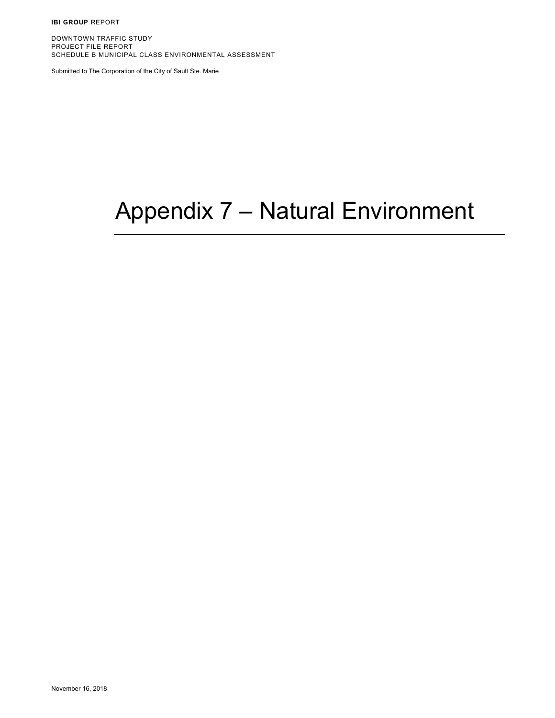**IBI GROUP** REPORT

DOWNTOWN TRAFFIC STUDY PROJECT FILE REPORT SCHEDULE B MUNICIPAL CLASS ENVIRONMENTAL ASSESSMENT

Submitted to The Corporation of the City of Sault Ste. Marie

## Appendix 7 – Natural Environment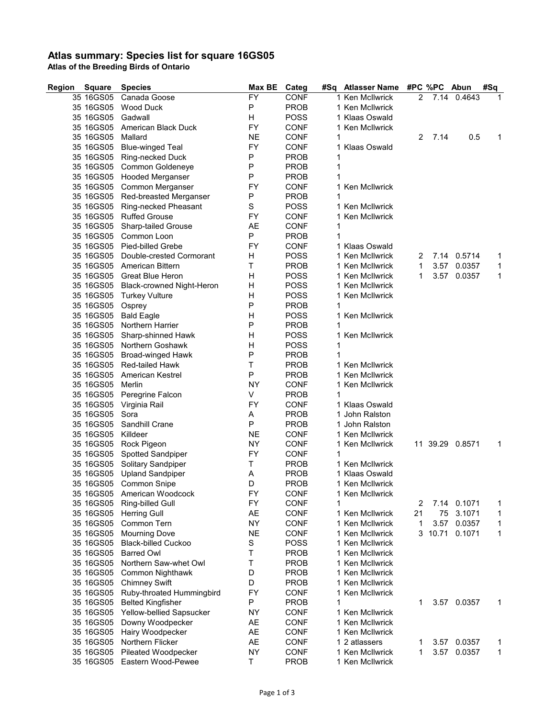## **Atlas summary: Species list for square 16GS05**

**Atlas of the Breeding Birds of Ontario**

| Region<br><b>Square</b> | <b>Species</b>                   | Max BE    | Categ       | #Sq Atlasser Name |    | #PC %PC Abun |                 | #Sq |
|-------------------------|----------------------------------|-----------|-------------|-------------------|----|--------------|-----------------|-----|
| 35 16GS05               | Canada Goose                     | <b>FY</b> | <b>CONF</b> | 1 Ken McIlwrick   | 2  |              | 7.14 0.4643     | 1   |
| 35 16GS05               | Wood Duck                        | Ρ         | <b>PROB</b> | 1 Ken McIlwrick   |    |              |                 |     |
| 35 16GS05               | Gadwall                          | н         | <b>POSS</b> | 1 Klaas Oswald    |    |              |                 |     |
| 35 16GS05               | American Black Duck              | FY        | <b>CONF</b> | 1 Ken McIlwrick   |    |              |                 |     |
| 35 16GS05               | Mallard                          | <b>NE</b> | <b>CONF</b> |                   | 2  | 7.14         | 0.5             | 1   |
| 35 16GS05               | <b>Blue-winged Teal</b>          | FY        | <b>CONF</b> | 1 Klaas Oswald    |    |              |                 |     |
|                         | 35 16GS05 Ring-necked Duck       | Ρ         | <b>PROB</b> | 1                 |    |              |                 |     |
| 35 16GS05               | Common Goldeneye                 | Ρ         | <b>PROB</b> | 1                 |    |              |                 |     |
| 35 16GS05               | Hooded Merganser                 | P         | <b>PROB</b> |                   |    |              |                 |     |
| 35 16GS05               | Common Merganser                 | FY        | <b>CONF</b> | 1 Ken McIlwrick   |    |              |                 |     |
| 35 16GS05               |                                  | Ρ         | <b>PROB</b> | 1                 |    |              |                 |     |
|                         | Red-breasted Merganser           | S         |             | 1 Ken McIlwrick   |    |              |                 |     |
| 35 16GS05               | Ring-necked Pheasant             |           | <b>POSS</b> |                   |    |              |                 |     |
| 35 16GS05               | <b>Ruffed Grouse</b>             | FY        | <b>CONF</b> | 1 Ken McIlwrick   |    |              |                 |     |
| 35 16GS05               | <b>Sharp-tailed Grouse</b>       | AE        | <b>CONF</b> | 1                 |    |              |                 |     |
| 35 16GS05               | Common Loon                      | P         | <b>PROB</b> |                   |    |              |                 |     |
| 35 16GS05               | Pied-billed Grebe                | FY        | <b>CONF</b> | 1 Klaas Oswald    |    |              |                 |     |
| 35 16GS05               | Double-crested Cormorant         | н         | <b>POSS</b> | 1 Ken McIlwrick   | 2  |              | 7.14 0.5714     | 1   |
| 35 16GS05               | American Bittern                 | Т         | <b>PROB</b> | 1 Ken McIlwrick   | 1  | 3.57         | 0.0357          | 1   |
| 35 16GS05               | Great Blue Heron                 | н         | <b>POSS</b> | 1 Ken McIlwrick   | 1  | 3.57         | 0.0357          | 1   |
| 35 16GS05               | <b>Black-crowned Night-Heron</b> | Н         | <b>POSS</b> | 1 Ken McIlwrick   |    |              |                 |     |
| 35 16GS05               | <b>Turkey Vulture</b>            | Н         | <b>POSS</b> | 1 Ken McIlwrick   |    |              |                 |     |
| 35 16GS05               | Osprey                           | P         | <b>PROB</b> | 1                 |    |              |                 |     |
| 35 16GS05               | <b>Bald Eagle</b>                | Η         | <b>POSS</b> | 1 Ken McIlwrick   |    |              |                 |     |
| 35 16GS05               | Northern Harrier                 | Ρ         | <b>PROB</b> | 1                 |    |              |                 |     |
| 35 16GS05               | Sharp-shinned Hawk               | Η         | <b>POSS</b> | 1 Ken McIlwrick   |    |              |                 |     |
| 35 16GS05               | Northern Goshawk                 | Н         | <b>POSS</b> | 1                 |    |              |                 |     |
| 35 16GS05               | Broad-winged Hawk                | P         | <b>PROB</b> |                   |    |              |                 |     |
| 35 16GS05               | <b>Red-tailed Hawk</b>           | Т         | <b>PROB</b> | 1 Ken McIlwrick   |    |              |                 |     |
| 35 16GS05               | <b>American Kestrel</b>          | P         | <b>PROB</b> | 1 Ken McIlwrick   |    |              |                 |     |
|                         |                                  |           |             |                   |    |              |                 |     |
| 35 16GS05               | Merlin                           | <b>NY</b> | <b>CONF</b> | 1 Ken McIlwrick   |    |              |                 |     |
| 35 16GS05               | Peregrine Falcon                 | V         | <b>PROB</b> | 1                 |    |              |                 |     |
| 35 16GS05               | Virginia Rail                    | FY        | <b>CONF</b> | 1 Klaas Oswald    |    |              |                 |     |
| 35 16GS05               | Sora                             | Α         | <b>PROB</b> | 1 John Ralston    |    |              |                 |     |
| 35 16GS05               | Sandhill Crane                   | P         | <b>PROB</b> | 1 John Ralston    |    |              |                 |     |
| 35 16GS05               | Killdeer                         | <b>NE</b> | <b>CONF</b> | 1 Ken McIlwrick   |    |              |                 |     |
| 35 16GS05               | Rock Pigeon                      | <b>NY</b> | <b>CONF</b> | 1 Ken McIlwrick   |    |              | 11 39.29 0.8571 | 1   |
| 35 16GS05               | Spotted Sandpiper                | FY        | <b>CONF</b> |                   |    |              |                 |     |
| 35 16GS05               | Solitary Sandpiper               | Τ         | <b>PROB</b> | 1 Ken McIlwrick   |    |              |                 |     |
| 35 16GS05               | <b>Upland Sandpiper</b>          | Α         | <b>PROB</b> | 1 Klaas Oswald    |    |              |                 |     |
|                         | 35 16GS05 Common Snipe           | D         | <b>PROB</b> | 1 Ken McIlwrick   |    |              |                 |     |
| 35 16GS05               | American Woodcock                | FY        | <b>CONF</b> | 1 Ken McIlwrick   |    |              |                 |     |
| 35 16GS05               | Ring-billed Gull                 | FY        | <b>CONF</b> | 1                 | 2  |              | 7.14 0.1071     | 1   |
| 35 16GS05               | <b>Herring Gull</b>              | AE        | <b>CONF</b> | 1 Ken McIlwrick   | 21 | 75           | 3.1071          | 1   |
| 35 16GS05               | Common Tern                      | <b>NY</b> | <b>CONF</b> | 1 Ken McIlwrick   | 1  | 3.57         | 0.0357          | 1   |
| 35 16GS05               | <b>Mourning Dove</b>             | <b>NE</b> | CONF        | 1 Ken McIlwrick   | 3  | 10.71        | 0.1071          | 1   |
| 35 16GS05               | <b>Black-billed Cuckoo</b>       | S         | <b>POSS</b> | 1 Ken McIlwrick   |    |              |                 |     |
| 35 16GS05               | <b>Barred Owl</b>                | Т         | <b>PROB</b> | 1 Ken McIlwrick   |    |              |                 |     |
| 35 16GS05               | Northern Saw-whet Owl            | Т         | <b>PROB</b> | 1 Ken McIlwrick   |    |              |                 |     |
| 35 16GS05               | Common Nighthawk                 | D         | <b>PROB</b> | 1 Ken McIlwrick   |    |              |                 |     |
| 35 16GS05               | <b>Chimney Swift</b>             | D         | <b>PROB</b> | 1 Ken McIlwrick   |    |              |                 |     |
|                         |                                  | FY        |             | 1 Ken McIlwrick   |    |              |                 |     |
| 35 16GS05               | Ruby-throated Hummingbird        |           | <b>CONF</b> |                   |    |              |                 |     |
| 35 16GS05               | <b>Belted Kingfisher</b>         | P         | <b>PROB</b> | 1                 | 1  |              | 3.57 0.0357     | 1   |
| 35 16GS05               | Yellow-bellied Sapsucker         | NΥ        | <b>CONF</b> | 1 Ken McIlwrick   |    |              |                 |     |
| 35 16GS05               | Downy Woodpecker                 | AE        | <b>CONF</b> | 1 Ken McIlwrick   |    |              |                 |     |
| 35 16GS05               | Hairy Woodpecker                 | AE        | <b>CONF</b> | 1 Ken McIlwrick   |    |              |                 |     |
| 35 16GS05               | Northern Flicker                 | AE        | <b>CONF</b> | 1 2 atlassers     | 1  | 3.57         | 0.0357          | 1   |
| 35 16GS05               | Pileated Woodpecker              | <b>NY</b> | <b>CONF</b> | 1 Ken McIlwrick   | 1  | 3.57         | 0.0357          | 1   |
|                         | 35 16GS05 Eastern Wood-Pewee     | T.        | <b>PROB</b> | 1 Ken McIlwrick   |    |              |                 |     |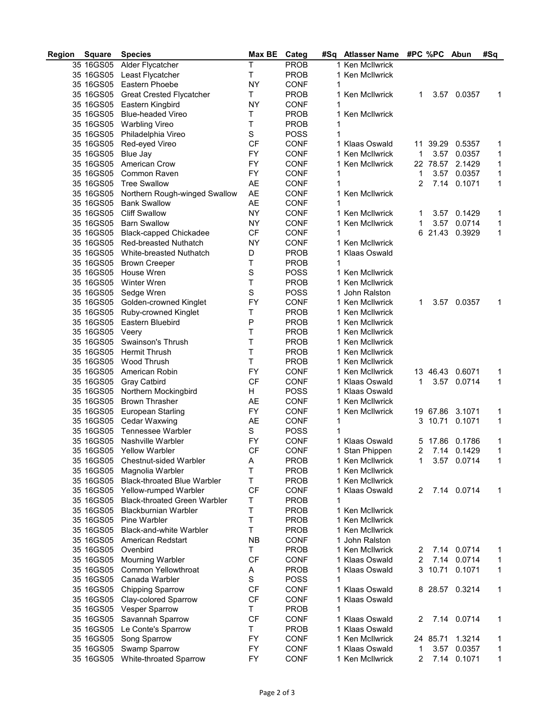| Region | <b>Square</b> | <b>Species</b>                      | Max BE      | Categ       | #Sq | <b>Atlasser Name</b> | #PC %PC |          | Abun           | #Sq          |
|--------|---------------|-------------------------------------|-------------|-------------|-----|----------------------|---------|----------|----------------|--------------|
|        | 35 16GS05     | Alder Flycatcher                    | Τ           | <b>PROB</b> |     | 1 Ken McIlwrick      |         |          |                |              |
|        | 35 16GS05     | Least Flycatcher                    | Τ           | <b>PROB</b> |     | 1 Ken McIlwrick      |         |          |                |              |
|        | 35 16GS05     | Eastern Phoebe                      | <b>NY</b>   | <b>CONF</b> | 1   |                      |         |          |                |              |
|        | 35 16GS05     | <b>Great Crested Flycatcher</b>     | Τ           | <b>PROB</b> |     | 1 Ken McIlwrick      | 1       | 3.57     | 0.0357         | 1            |
|        | 35 16GS05     | Eastern Kingbird                    | <b>NY</b>   | <b>CONF</b> | 1   |                      |         |          |                |              |
|        | 35 16GS05     | <b>Blue-headed Vireo</b>            | Т           | <b>PROB</b> |     | 1 Ken McIlwrick      |         |          |                |              |
|        | 35 16GS05     | <b>Warbling Vireo</b>               | T           | <b>PROB</b> | 1   |                      |         |          |                |              |
|        | 35 16GS05     | Philadelphia Vireo                  | $\mathbf S$ | <b>POSS</b> | 1   |                      |         |          |                |              |
|        | 35 16GS05     | Red-eyed Vireo                      | CF          | <b>CONF</b> |     | 1 Klaas Oswald       |         | 11 39.29 | 0.5357         | 1            |
|        | 35 16GS05     | Blue Jay                            | FY          | <b>CONF</b> |     | 1 Ken McIlwrick      | 1       | 3.57     | 0.0357         | 1            |
|        | 35 16GS05     | American Crow                       | FY          | <b>CONF</b> |     | 1 Ken McIlwrick      |         | 22 78.57 | 2.1429         | 1            |
|        | 35 16GS05     | Common Raven                        | FY          | <b>CONF</b> | 1   |                      | 1       | 3.57     | 0.0357         |              |
|        |               |                                     |             |             | 1   |                      | 2       |          |                | 1            |
|        | 35 16GS05     | <b>Tree Swallow</b>                 | AE          | <b>CONF</b> |     |                      |         | 7.14     | 0.1071         | 1            |
|        | 35 16GS05     | Northern Rough-winged Swallow       | <b>AE</b>   | <b>CONF</b> |     | 1 Ken McIlwrick      |         |          |                |              |
|        | 35 16GS05     | <b>Bank Swallow</b>                 | <b>AE</b>   | <b>CONF</b> | 1   |                      |         |          |                |              |
|        | 35 16GS05     | <b>Cliff Swallow</b>                | <b>NY</b>   | <b>CONF</b> |     | 1 Ken McIlwrick      | 1       | 3.57     | 0.1429         | 1            |
|        | 35 16GS05     | <b>Barn Swallow</b>                 | <b>NY</b>   | <b>CONF</b> |     | 1 Ken McIlwrick      | 1       | 3.57     | 0.0714         | 1            |
|        | 35 16GS05     | <b>Black-capped Chickadee</b>       | <b>CF</b>   | <b>CONF</b> | 1   |                      |         | 6 21.43  | 0.3929         | 1            |
|        | 35 16GS05     | <b>Red-breasted Nuthatch</b>        | <b>NY</b>   | <b>CONF</b> |     | 1 Ken McIlwrick      |         |          |                |              |
|        | 35 16GS05     | White-breasted Nuthatch             | D           | <b>PROB</b> |     | 1 Klaas Oswald       |         |          |                |              |
|        | 35 16GS05     | <b>Brown Creeper</b>                | Т           | <b>PROB</b> | 1   |                      |         |          |                |              |
|        | 35 16GS05     | House Wren                          | $\mathbb S$ | <b>POSS</b> |     | 1 Ken McIlwrick      |         |          |                |              |
|        | 35 16GS05     | Winter Wren                         | Т           | <b>PROB</b> |     | 1 Ken McIlwrick      |         |          |                |              |
|        | 35 16GS05     | Sedge Wren                          | S           | <b>POSS</b> |     | 1 John Ralston       |         |          |                |              |
|        | 35 16GS05     | Golden-crowned Kinglet              | FY          | <b>CONF</b> |     | 1 Ken McIlwrick      | 1       | 3.57     | 0.0357         | 1            |
|        | 35 16GS05     | Ruby-crowned Kinglet                | Т           | <b>PROB</b> |     | 1 Ken McIlwrick      |         |          |                |              |
|        | 35 16GS05     | Eastern Bluebird                    | P           | <b>PROB</b> |     | 1 Ken McIlwrick      |         |          |                |              |
|        | 35 16GS05     | Veery                               | Τ           | <b>PROB</b> |     | 1 Ken McIlwrick      |         |          |                |              |
|        | 35 16GS05     | Swainson's Thrush                   | T           | <b>PROB</b> |     | 1 Ken McIlwrick      |         |          |                |              |
|        | 35 16GS05     | Hermit Thrush                       | т           | <b>PROB</b> |     | 1 Ken McIlwrick      |         |          |                |              |
|        | 35 16GS05     | Wood Thrush                         | Т           | <b>PROB</b> |     | 1 Ken McIlwrick      |         |          |                |              |
|        | 35 16GS05     | American Robin                      | FY          | <b>CONF</b> |     | 1 Ken McIlwrick      |         | 13 46.43 | 0.6071         | 1            |
|        | 35 16GS05     |                                     | <b>CF</b>   |             |     | 1 Klaas Oswald       | 1       |          | 3.57 0.0714    | 1            |
|        |               | Gray Catbird                        |             | <b>CONF</b> |     |                      |         |          |                |              |
|        | 35 16GS05     | Northern Mockingbird                | H           | <b>POSS</b> |     | 1 Klaas Oswald       |         |          |                |              |
|        | 35 16GS05     | <b>Brown Thrasher</b>               | AE          | <b>CONF</b> |     | 1 Ken McIlwrick      |         |          |                |              |
|        | 35 16GS05     | European Starling                   | FY          | <b>CONF</b> |     | 1 Ken McIlwrick      |         | 19 67.86 | 3.1071         | 1            |
|        | 35 16GS05     | Cedar Waxwing                       | AE          | <b>CONF</b> | 1   |                      | 3       | 10.71    | 0.1071         | 1            |
|        | 35 16GS05     | Tennessee Warbler                   | S           | <b>POSS</b> | 1   |                      |         |          |                |              |
|        | 35 16GS05     | Nashville Warbler                   | FY          | <b>CONF</b> |     | 1 Klaas Oswald       | 5       | 17.86    | 0.1786         | 1            |
|        | 35 16GS05     | <b>Yellow Warbler</b>               | СF          | <b>CONF</b> |     | 1 Stan Phippen       | 2       |          | 7.14 0.1429    | 1            |
|        | 35 16GS05     | Chestnut-sided Warbler              | A           | <b>PROB</b> |     | 1 Ken McIlwrick      | 1.      |          | 3.57 0.0714    | 1            |
|        | 35 16GS05     | Magnolia Warbler                    | Τ           | PROB        |     | 1 Ken McIlwrick      |         |          |                |              |
|        | 35 16GS05     | <b>Black-throated Blue Warbler</b>  | Т           | <b>PROB</b> |     | 1 Ken McIlwrick      |         |          |                |              |
|        | 35 16GS05     | Yellow-rumped Warbler               | <b>CF</b>   | <b>CONF</b> |     | 1 Klaas Oswald       | 2       |          | 7.14 0.0714    | 1            |
|        | 35 16GS05     | <b>Black-throated Green Warbler</b> | Т           | <b>PROB</b> | 1   |                      |         |          |                |              |
|        | 35 16GS05     | <b>Blackburnian Warbler</b>         | т           | <b>PROB</b> |     | 1 Ken McIlwrick      |         |          |                |              |
|        | 35 16GS05     | Pine Warbler                        | т           | <b>PROB</b> |     | 1 Ken McIlwrick      |         |          |                |              |
|        | 35 16GS05     | Black-and-white Warbler             | Т           | <b>PROB</b> |     | 1 Ken McIlwrick      |         |          |                |              |
|        | 35 16GS05     | American Redstart                   | <b>NB</b>   | <b>CONF</b> |     | 1 John Ralston       |         |          |                |              |
|        | 35 16GS05     | Ovenbird                            | T.          | <b>PROB</b> |     | 1 Ken McIlwrick      | 2       |          | 7.14 0.0714    | 1            |
|        | 35 16GS05     | Mourning Warbler                    | <b>CF</b>   | <b>CONF</b> |     | 1 Klaas Oswald       | 2       | 7.14     | 0.0714         | 1            |
|        | 35 16GS05     | Common Yellowthroat                 | Α           | <b>PROB</b> |     | 1 Klaas Oswald       | 3       | 10.71    | 0.1071         | $\mathbf{1}$ |
|        | 35 16GS05     | Canada Warbler                      | S           | <b>POSS</b> | 1   |                      |         |          |                |              |
|        | 35 16GS05     | <b>Chipping Sparrow</b>             | СF          | <b>CONF</b> |     | 1 Klaas Oswald       |         |          | 8 28.57 0.3214 | 1            |
|        | 35 16GS05     | Clay-colored Sparrow                | <b>CF</b>   | <b>CONF</b> |     | 1 Klaas Oswald       |         |          |                |              |
|        | 35 16GS05     | Vesper Sparrow                      | T.          | <b>PROB</b> | 1   |                      |         |          |                |              |
|        | 35 16GS05     | Savannah Sparrow                    | <b>CF</b>   | <b>CONF</b> |     | 1 Klaas Oswald       | 2       |          | 7.14 0.0714    | 1            |
|        | 35 16GS05     | Le Conte's Sparrow                  | T           | <b>PROB</b> |     | 1 Klaas Oswald       |         |          |                |              |
|        | 35 16GS05     | Song Sparrow                        | FY          | <b>CONF</b> |     | 1 Ken McIlwrick      |         | 24 85.71 | 1.3214         | 1            |
|        | 35 16GS05     | Swamp Sparrow                       | FY          | <b>CONF</b> |     | 1 Klaas Oswald       | 1       | 3.57     | 0.0357         | 1            |
|        | 35 16GS05     | White-throated Sparrow              | FY          | <b>CONF</b> |     | 1 Ken McIlwrick      | 2       |          | 7.14 0.1071    | $\mathbf{1}$ |
|        |               |                                     |             |             |     |                      |         |          |                |              |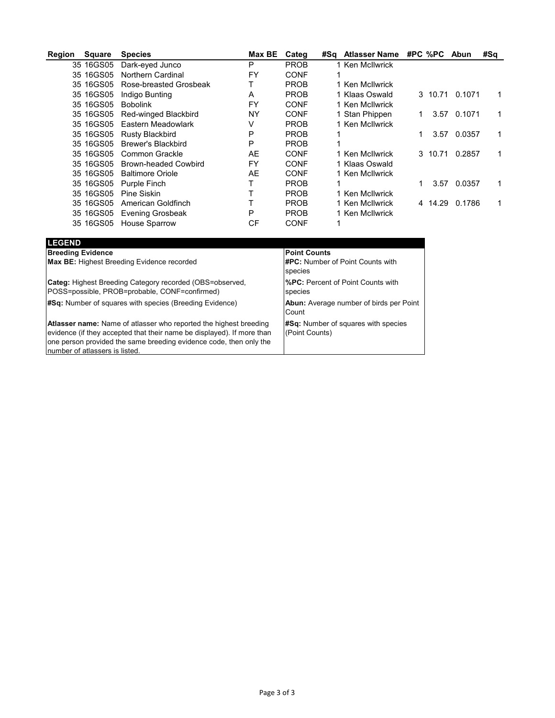| Region | <b>Square</b> | <b>Species</b>              | Max BE | Categ       | #Sq | <b>Atlasser Name</b> | #PC %PC |         | Abun   | #Sa |
|--------|---------------|-----------------------------|--------|-------------|-----|----------------------|---------|---------|--------|-----|
|        | 35 16GS05     | Dark-eyed Junco             | P      | <b>PROB</b> |     | 1 Ken McIlwrick      |         |         |        |     |
|        | 35 16GS05     | Northern Cardinal           | FY     | <b>CONF</b> |     |                      |         |         |        |     |
|        | 35 16GS05     | Rose-breasted Grosbeak      |        | <b>PROB</b> |     | 1 Ken McIlwrick      |         |         |        |     |
|        | 35 16GS05     | Indigo Bunting              | A      | <b>PROB</b> |     | 1 Klaas Oswald       |         | 3 10.71 | 0.1071 |     |
|        | 35 16GS05     | <b>Bobolink</b>             | FY     | <b>CONF</b> |     | 1 Ken McIlwrick      |         |         |        |     |
|        | 35 16GS05     | Red-winged Blackbird        | ΝY     | CONF        |     | 1 Stan Phippen       |         | 3.57    | 0.1071 | 1   |
|        | 35 16GS05     | Eastern Meadowlark          | V      | <b>PROB</b> |     | 1 Ken McIlwrick      |         |         |        |     |
|        | 35 16GS05     | <b>Rusty Blackbird</b>      | P      | <b>PROB</b> |     |                      |         | 3.57    | 0.0357 | 1   |
|        | 35 16GS05     | <b>Brewer's Blackbird</b>   | P      | <b>PROB</b> |     |                      |         |         |        |     |
|        | 35 16GS05     | Common Grackle              | AE     | <b>CONF</b> |     | 1 Ken McIlwrick      |         | 3 10.71 | 0.2857 | 1.  |
|        | 35 16GS05     | <b>Brown-headed Cowbird</b> | FY     | <b>CONF</b> |     | 1 Klaas Oswald       |         |         |        |     |
|        | 35 16GS05     | <b>Baltimore Oriole</b>     | AE     | <b>CONF</b> |     | 1 Ken McIlwrick      |         |         |        |     |
|        | 35 16GS05     | Purple Finch                |        | <b>PROB</b> |     |                      |         | 3.57    | 0.0357 | 1   |
|        | 35 16GS05     | Pine Siskin                 |        | <b>PROB</b> |     | 1 Ken McIlwrick      |         |         |        |     |
|        | 35 16GS05     | American Goldfinch          |        | <b>PROB</b> |     | 1 Ken McIlwrick      | 4       | 14.29   | 0.1786 | 1   |
|        | 35 16GS05     | <b>Evening Grosbeak</b>     | P      | <b>PROB</b> |     | 1 Ken McIlwrick      |         |         |        |     |
|        | 35 16GS05     | <b>House Sparrow</b>        | СF     | CONF        |     |                      |         |         |        |     |

| <b>LEGEND</b>                                                                                                                                                                                                                                              |                                                         |
|------------------------------------------------------------------------------------------------------------------------------------------------------------------------------------------------------------------------------------------------------------|---------------------------------------------------------|
| <b>Breeding Evidence</b>                                                                                                                                                                                                                                   | <b>Point Counts</b>                                     |
| <b>Max BE:</b> Highest Breeding Evidence recorded                                                                                                                                                                                                          | <b>#PC:</b> Number of Point Counts with<br>species      |
| Categ: Highest Breeding Category recorded (OBS=observed,<br>POSS=possible, PROB=probable, CONF=confirmed)                                                                                                                                                  | <b>%PC:</b> Percent of Point Counts with<br>species     |
| #Sq: Number of squares with species (Breeding Evidence)                                                                                                                                                                                                    | <b>Abun:</b> Average number of birds per Point<br>Count |
| <b>Atlasser name:</b> Name of atlasser who reported the highest breeding<br>evidence (if they accepted that their name be displayed). If more than<br>one person provided the same breeding evidence code, then only the<br>number of atlassers is listed. | #Sq: Number of squares with species<br>(Point Counts)   |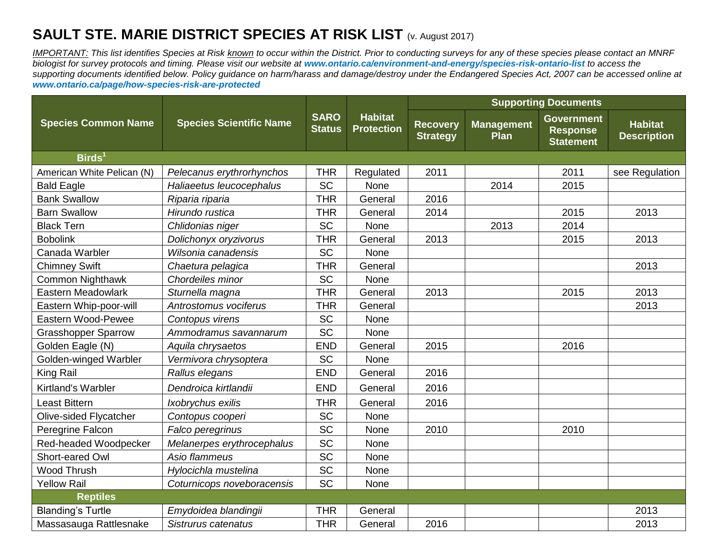## **SAULT STE. MARIE DISTRICT SPECIES AT RISK LIST (v. August 2017)**

*IMPORTANT: This list identifies Species at Risk known to occur within the District. Prior to conducting surveys for any of these species please contact an MNRF biologist for survey protocols and timing. Please visit our website at [www.ontario.ca/environment-and-energy/species-risk-ontario-list](http://www.ontario.ca/environment-and-energy/species-risk-ontario-list) to access the supporting documents identified below. Policy guidance on harm/harass and damage/destroy under the Endangered Species Act, 2007 can be accessed online at [www.ontario.ca/page/how-species-risk-are-protected](http://www.ontario.ca/page/how-species-risk-are-protected)*

|                            |                                |                              |                                     | <b>Supporting Documents</b>        |                           |                                                          |                                      |  |  |  |  |  |  |  |  |
|----------------------------|--------------------------------|------------------------------|-------------------------------------|------------------------------------|---------------------------|----------------------------------------------------------|--------------------------------------|--|--|--|--|--|--|--|--|
| <b>Species Common Name</b> | <b>Species Scientific Name</b> | <b>SARO</b><br><b>Status</b> | <b>Habitat</b><br><b>Protection</b> | <b>Recovery</b><br><b>Strategy</b> | <b>Management</b><br>Plan | <b>Government</b><br><b>Response</b><br><b>Statement</b> | <b>Habitat</b><br><b>Description</b> |  |  |  |  |  |  |  |  |
| $\mathsf{Birds}^1$         |                                |                              |                                     |                                    |                           |                                                          |                                      |  |  |  |  |  |  |  |  |
| American White Pelican (N) | Pelecanus erythrorhynchos      | <b>THR</b>                   | Regulated                           | 2011                               |                           | 2011                                                     | see Regulation                       |  |  |  |  |  |  |  |  |
| <b>Bald Eagle</b>          | Haliaeetus leucocephalus       | <b>SC</b>                    | None                                |                                    | 2014                      | 2015                                                     |                                      |  |  |  |  |  |  |  |  |
| <b>Bank Swallow</b>        | Riparia riparia                | <b>THR</b>                   | General                             | 2016                               |                           |                                                          |                                      |  |  |  |  |  |  |  |  |
| <b>Barn Swallow</b>        | Hirundo rustica                | <b>THR</b>                   | General                             | 2014                               |                           | 2015                                                     | 2013                                 |  |  |  |  |  |  |  |  |
| <b>Black Tern</b>          | Chlidonias niger               | SC                           | None                                |                                    | 2013                      | 2014                                                     |                                      |  |  |  |  |  |  |  |  |
| <b>Bobolink</b>            | Dolichonyx oryzivorus          | <b>THR</b>                   | General                             | 2013                               |                           | 2015                                                     | 2013                                 |  |  |  |  |  |  |  |  |
| Canada Warbler             | Wilsonia canadensis            | SC                           | <b>None</b>                         |                                    |                           |                                                          |                                      |  |  |  |  |  |  |  |  |
| <b>Chimney Swift</b>       | Chaetura pelagica              | <b>THR</b>                   | General                             |                                    |                           |                                                          | 2013                                 |  |  |  |  |  |  |  |  |
| Common Nighthawk           | Chordeiles minor               | SC                           | None                                |                                    |                           |                                                          |                                      |  |  |  |  |  |  |  |  |
| <b>Eastern Meadowlark</b>  | Sturnella magna                | <b>THR</b>                   | General                             | 2013                               |                           | 2015                                                     | 2013                                 |  |  |  |  |  |  |  |  |
| Eastern Whip-poor-will     | Antrostomus vociferus          | <b>THR</b>                   | General                             |                                    |                           |                                                          | 2013                                 |  |  |  |  |  |  |  |  |
| Eastern Wood-Pewee         | Contopus virens                | SC                           | None                                |                                    |                           |                                                          |                                      |  |  |  |  |  |  |  |  |
| <b>Grasshopper Sparrow</b> | Ammodramus savannarum          | SC                           | None                                |                                    |                           |                                                          |                                      |  |  |  |  |  |  |  |  |
| Golden Eagle (N)           | Aquila chrysaetos              | <b>END</b>                   | General                             | 2015                               |                           | 2016                                                     |                                      |  |  |  |  |  |  |  |  |
| Golden-winged Warbler      | Vermivora chrysoptera          | SC                           | None                                |                                    |                           |                                                          |                                      |  |  |  |  |  |  |  |  |
| King Rail                  | Rallus elegans                 | <b>END</b>                   | General                             | 2016                               |                           |                                                          |                                      |  |  |  |  |  |  |  |  |
| Kirtland's Warbler         | Dendroica kirtlandii           | <b>END</b>                   | General                             | 2016                               |                           |                                                          |                                      |  |  |  |  |  |  |  |  |
| <b>Least Bittern</b>       | Ixobrychus exilis              | <b>THR</b>                   | General                             | 2016                               |                           |                                                          |                                      |  |  |  |  |  |  |  |  |
| Olive-sided Flycatcher     | Contopus cooperi               | SC                           | None                                |                                    |                           |                                                          |                                      |  |  |  |  |  |  |  |  |
| Peregrine Falcon           | Falco peregrinus               | SC                           | None                                | 2010                               |                           | 2010                                                     |                                      |  |  |  |  |  |  |  |  |
| Red-headed Woodpecker      | Melanerpes erythrocephalus     | SC                           | None                                |                                    |                           |                                                          |                                      |  |  |  |  |  |  |  |  |
| Short-eared Owl            | Asio flammeus                  | SC                           | None                                |                                    |                           |                                                          |                                      |  |  |  |  |  |  |  |  |
| <b>Wood Thrush</b>         | Hylocichla mustelina           | SC                           | None                                |                                    |                           |                                                          |                                      |  |  |  |  |  |  |  |  |
| <b>Yellow Rail</b>         | Coturnicops noveboracensis     | SC                           | None                                |                                    |                           |                                                          |                                      |  |  |  |  |  |  |  |  |
| Reptiles                   |                                |                              |                                     |                                    |                           |                                                          |                                      |  |  |  |  |  |  |  |  |
| <b>Blanding's Turtle</b>   | Emydoidea blandingii           | <b>THR</b>                   | General                             |                                    |                           |                                                          | 2013                                 |  |  |  |  |  |  |  |  |
| Massasauga Rattlesnake     | Sistrurus catenatus            | <b>THR</b>                   | General                             | 2016                               |                           |                                                          | 2013                                 |  |  |  |  |  |  |  |  |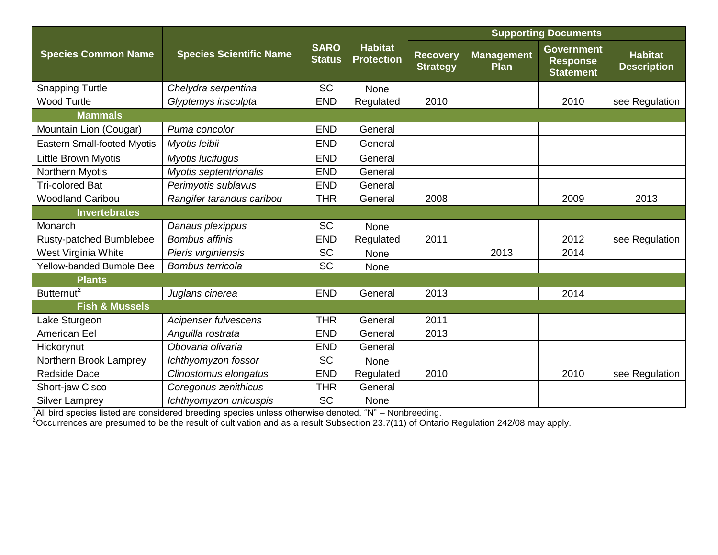|                                    |                                                                                                      |                              |                                     | <b>Supporting Documents</b>        |                           |                                                          |                                      |  |  |  |  |  |  |  |  |  |
|------------------------------------|------------------------------------------------------------------------------------------------------|------------------------------|-------------------------------------|------------------------------------|---------------------------|----------------------------------------------------------|--------------------------------------|--|--|--|--|--|--|--|--|--|
| <b>Species Common Name</b>         | <b>Species Scientific Name</b>                                                                       | <b>SARO</b><br><b>Status</b> | <b>Habitat</b><br><b>Protection</b> | <b>Recovery</b><br><b>Strategy</b> | <b>Management</b><br>Plan | <b>Government</b><br><b>Response</b><br><b>Statement</b> | <b>Habitat</b><br><b>Description</b> |  |  |  |  |  |  |  |  |  |
| <b>Snapping Turtle</b>             | Chelydra serpentina                                                                                  | <b>SC</b>                    | None                                |                                    |                           |                                                          |                                      |  |  |  |  |  |  |  |  |  |
| <b>Wood Turtle</b>                 | Glyptemys insculpta                                                                                  | <b>END</b>                   | Regulated                           | 2010                               |                           | 2010                                                     | see Regulation                       |  |  |  |  |  |  |  |  |  |
| <b>Mammals</b>                     |                                                                                                      |                              |                                     |                                    |                           |                                                          |                                      |  |  |  |  |  |  |  |  |  |
| Mountain Lion (Cougar)             | Puma concolor                                                                                        | <b>END</b>                   | General                             |                                    |                           |                                                          |                                      |  |  |  |  |  |  |  |  |  |
| <b>Eastern Small-footed Myotis</b> | Myotis leibii                                                                                        | <b>END</b>                   | General                             |                                    |                           |                                                          |                                      |  |  |  |  |  |  |  |  |  |
| Little Brown Myotis                | Myotis lucifugus                                                                                     | <b>END</b>                   | General                             |                                    |                           |                                                          |                                      |  |  |  |  |  |  |  |  |  |
| Northern Myotis                    | Myotis septentrionalis                                                                               | <b>END</b>                   | General                             |                                    |                           |                                                          |                                      |  |  |  |  |  |  |  |  |  |
| <b>Tri-colored Bat</b>             | Perimyotis sublavus                                                                                  | <b>END</b>                   | General                             |                                    |                           |                                                          |                                      |  |  |  |  |  |  |  |  |  |
| <b>Woodland Caribou</b>            | Rangifer tarandus caribou                                                                            | <b>THR</b>                   | General                             | 2008                               |                           | 2009                                                     | 2013                                 |  |  |  |  |  |  |  |  |  |
| <b>Invertebrates</b>               |                                                                                                      |                              |                                     |                                    |                           |                                                          |                                      |  |  |  |  |  |  |  |  |  |
| Monarch                            | Danaus plexippus                                                                                     | <b>SC</b>                    | None                                |                                    |                           |                                                          |                                      |  |  |  |  |  |  |  |  |  |
| Rusty-patched Bumblebee            | <b>Bombus affinis</b>                                                                                | <b>END</b>                   | Regulated                           | 2011                               |                           | 2012                                                     | see Regulation                       |  |  |  |  |  |  |  |  |  |
| West Virginia White                | Pieris virginiensis                                                                                  | <b>SC</b>                    | None                                |                                    | 2013                      | 2014                                                     |                                      |  |  |  |  |  |  |  |  |  |
| Yellow-banded Bumble Bee           | Bombus terricola                                                                                     | <b>SC</b>                    | None                                |                                    |                           |                                                          |                                      |  |  |  |  |  |  |  |  |  |
| <b>Plants</b>                      |                                                                                                      |                              |                                     |                                    |                           |                                                          |                                      |  |  |  |  |  |  |  |  |  |
| Butternut <sup>2</sup>             | Juglans cinerea                                                                                      | <b>END</b>                   | General                             | 2013                               |                           | 2014                                                     |                                      |  |  |  |  |  |  |  |  |  |
| <b>Fish &amp; Mussels</b>          |                                                                                                      |                              |                                     |                                    |                           |                                                          |                                      |  |  |  |  |  |  |  |  |  |
| Lake Sturgeon                      | Acipenser fulvescens                                                                                 | <b>THR</b>                   | General                             | 2011                               |                           |                                                          |                                      |  |  |  |  |  |  |  |  |  |
| American Eel                       | Anguilla rostrata                                                                                    | <b>END</b>                   | General                             | 2013                               |                           |                                                          |                                      |  |  |  |  |  |  |  |  |  |
| Hickorynut                         | Obovaria olivaria                                                                                    | <b>END</b>                   | General                             |                                    |                           |                                                          |                                      |  |  |  |  |  |  |  |  |  |
| Northern Brook Lamprey             | Ichthyomyzon fossor                                                                                  | <b>SC</b>                    | None                                |                                    |                           |                                                          |                                      |  |  |  |  |  |  |  |  |  |
| <b>Redside Dace</b>                | Clinostomus elongatus                                                                                | <b>END</b>                   | Regulated                           | 2010                               |                           | 2010                                                     | see Regulation                       |  |  |  |  |  |  |  |  |  |
| Short-jaw Cisco                    | Coregonus zenithicus                                                                                 | <b>THR</b>                   | General                             |                                    |                           |                                                          |                                      |  |  |  |  |  |  |  |  |  |
| <b>Silver Lamprey</b>              | Ichthyomyzon unicuspis                                                                               | <b>SC</b>                    | None                                |                                    |                           |                                                          |                                      |  |  |  |  |  |  |  |  |  |
|                                    | All bird species listed are considered breeding species unless otherwise denoted. "N" - Nonbreeding. |                              |                                     |                                    |                           |                                                          |                                      |  |  |  |  |  |  |  |  |  |

 $2$ Occurrences are presumed to be the result of cultivation and as a result Subsection 23.7(11) of Ontario Regulation 242/08 may apply.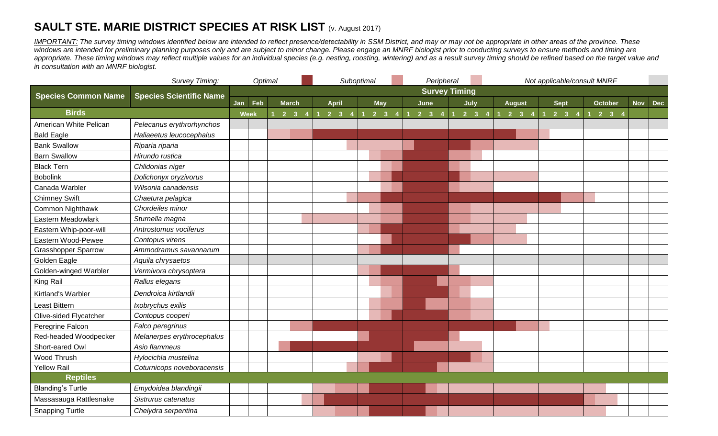## **SAULT STE. MARIE DISTRICT SPECIES AT RISK LIST (v. August 2017)**

*IMPORTANT:* The survey timing windows identified below are intended to reflect presence/detectability in SSM District, and may or may not be appropriate in other areas of the province. These windows are intended for preliminary planning purposes only and are subject to minor change. Please engage an MNRF biologist prior to conducting surveys to ensure methods and timing are appropriate. These timing windows may reflect multiple values for an individual species (e.g. nesting, roosting, wintering) and as a result survey timing should be refined based on the target value and *in consultation with an MNRF biologist.*

|                            | Survey Timing:                 | Optimal<br>Suboptimal |     |  |                     |  |  |                      |  | Peripheral |                     |  |                     |  |  | Not applicable/consult MNRF |                     |  |  |                     |  |                               |                             |  |  |  |                     |            |            |
|----------------------------|--------------------------------|-----------------------|-----|--|---------------------|--|--|----------------------|--|------------|---------------------|--|---------------------|--|--|-----------------------------|---------------------|--|--|---------------------|--|-------------------------------|-----------------------------|--|--|--|---------------------|------------|------------|
| <b>Species Common Name</b> | <b>Species Scientific Name</b> |                       |     |  |                     |  |  | <b>Survey Timing</b> |  |            |                     |  |                     |  |  |                             |                     |  |  |                     |  |                               |                             |  |  |  |                     |            |            |
|                            |                                | Jan                   | Feb |  | <b>March</b>        |  |  | <b>April</b>         |  | <b>May</b> |                     |  | June                |  |  | July                        |                     |  |  | <b>August</b>       |  | <b>Sept</b><br><b>October</b> |                             |  |  |  |                     | <b>Nov</b> | <b>Dec</b> |
| <b>Birds</b>               |                                | Week                  |     |  | $2 \quad 3 \quad 4$ |  |  | $2 \quad 3 \quad 4$  |  |            | $2 \quad 3 \quad 4$ |  | $2 \quad 3 \quad 4$ |  |  |                             | $2 \quad 3 \quad 4$ |  |  | $2 \quad 3 \quad 4$ |  |                               | $1 \quad 2 \quad 3 \quad 4$ |  |  |  | $2 \quad 3 \quad 4$ |            |            |
| American White Pelican     | Pelecanus erythrorhynchos      |                       |     |  |                     |  |  |                      |  |            |                     |  |                     |  |  |                             |                     |  |  |                     |  |                               |                             |  |  |  |                     |            |            |
| <b>Bald Eagle</b>          | Haliaeetus leucocephalus       |                       |     |  |                     |  |  |                      |  |            |                     |  |                     |  |  |                             |                     |  |  |                     |  |                               |                             |  |  |  |                     |            |            |
| <b>Bank Swallow</b>        | Riparia riparia                |                       |     |  |                     |  |  |                      |  |            |                     |  |                     |  |  |                             |                     |  |  |                     |  |                               |                             |  |  |  |                     |            |            |
| <b>Barn Swallow</b>        | Hirundo rustica                |                       |     |  |                     |  |  |                      |  |            |                     |  |                     |  |  |                             |                     |  |  |                     |  |                               |                             |  |  |  |                     |            |            |
| <b>Black Tern</b>          | Chlidonias niger               |                       |     |  |                     |  |  |                      |  |            |                     |  |                     |  |  |                             |                     |  |  |                     |  |                               |                             |  |  |  |                     |            |            |
| <b>Bobolink</b>            | Dolichonyx oryzivorus          |                       |     |  |                     |  |  |                      |  |            |                     |  |                     |  |  |                             |                     |  |  |                     |  |                               |                             |  |  |  |                     |            |            |
| Canada Warbler             | Wilsonia canadensis            |                       |     |  |                     |  |  |                      |  |            |                     |  |                     |  |  |                             |                     |  |  |                     |  |                               |                             |  |  |  |                     |            |            |
| <b>Chimney Swift</b>       | Chaetura pelagica              |                       |     |  |                     |  |  |                      |  |            |                     |  |                     |  |  |                             |                     |  |  |                     |  |                               |                             |  |  |  |                     |            |            |
| <b>Common Nighthawk</b>    | Chordeiles minor               |                       |     |  |                     |  |  |                      |  |            |                     |  |                     |  |  |                             |                     |  |  |                     |  |                               |                             |  |  |  |                     |            |            |
| Eastern Meadowlark         | Sturnella magna                |                       |     |  |                     |  |  |                      |  |            |                     |  |                     |  |  |                             |                     |  |  |                     |  |                               |                             |  |  |  |                     |            |            |
| Eastern Whip-poor-will     | Antrostomus vociferus          |                       |     |  |                     |  |  |                      |  |            |                     |  |                     |  |  |                             |                     |  |  |                     |  |                               |                             |  |  |  |                     |            |            |
| Eastern Wood-Pewee         | Contopus virens                |                       |     |  |                     |  |  |                      |  |            |                     |  |                     |  |  |                             |                     |  |  |                     |  |                               |                             |  |  |  |                     |            |            |
| <b>Grasshopper Sparrow</b> | Ammodramus savannarum          |                       |     |  |                     |  |  |                      |  |            |                     |  |                     |  |  |                             |                     |  |  |                     |  |                               |                             |  |  |  |                     |            |            |
| Golden Eagle               | Aquila chrysaetos              |                       |     |  |                     |  |  |                      |  |            |                     |  |                     |  |  |                             |                     |  |  |                     |  |                               |                             |  |  |  |                     |            |            |
| Golden-winged Warbler      | Vermivora chrysoptera          |                       |     |  |                     |  |  |                      |  |            |                     |  |                     |  |  |                             |                     |  |  |                     |  |                               |                             |  |  |  |                     |            |            |
| King Rail                  | Rallus elegans                 |                       |     |  |                     |  |  |                      |  |            |                     |  |                     |  |  |                             |                     |  |  |                     |  |                               |                             |  |  |  |                     |            |            |
| Kirtland's Warbler         | Dendroica kirtlandii           |                       |     |  |                     |  |  |                      |  |            |                     |  |                     |  |  |                             |                     |  |  |                     |  |                               |                             |  |  |  |                     |            |            |
| Least Bittern              | Ixobrychus exilis              |                       |     |  |                     |  |  |                      |  |            |                     |  |                     |  |  |                             |                     |  |  |                     |  |                               |                             |  |  |  |                     |            |            |
| Olive-sided Flycatcher     | Contopus cooperi               |                       |     |  |                     |  |  |                      |  |            |                     |  |                     |  |  |                             |                     |  |  |                     |  |                               |                             |  |  |  |                     |            |            |
| Peregrine Falcon           | Falco peregrinus               |                       |     |  |                     |  |  |                      |  |            |                     |  |                     |  |  |                             |                     |  |  |                     |  |                               |                             |  |  |  |                     |            |            |
| Red-headed Woodpecker      | Melanerpes erythrocephalus     |                       |     |  |                     |  |  |                      |  |            |                     |  |                     |  |  |                             |                     |  |  |                     |  |                               |                             |  |  |  |                     |            |            |
| Short-eared Owl            | Asio flammeus                  |                       |     |  |                     |  |  |                      |  |            |                     |  |                     |  |  |                             |                     |  |  |                     |  |                               |                             |  |  |  |                     |            |            |
| Wood Thrush                | Hylocichla mustelina           |                       |     |  |                     |  |  |                      |  |            |                     |  |                     |  |  |                             |                     |  |  |                     |  |                               |                             |  |  |  |                     |            |            |
| <b>Yellow Rail</b>         | Coturnicops noveboracensis     |                       |     |  |                     |  |  |                      |  |            |                     |  |                     |  |  |                             |                     |  |  |                     |  |                               |                             |  |  |  |                     |            |            |
| <b>Reptiles</b>            |                                |                       |     |  |                     |  |  |                      |  |            |                     |  |                     |  |  |                             |                     |  |  |                     |  |                               |                             |  |  |  |                     |            |            |
| <b>Blanding's Turtle</b>   | Emydoidea blandingii           |                       |     |  |                     |  |  |                      |  |            |                     |  |                     |  |  |                             |                     |  |  |                     |  |                               |                             |  |  |  |                     |            |            |
| Massasauga Rattlesnake     | Sistrurus catenatus            |                       |     |  |                     |  |  |                      |  |            |                     |  |                     |  |  |                             |                     |  |  |                     |  |                               |                             |  |  |  |                     |            |            |
| <b>Snapping Turtle</b>     | Chelydra serpentina            |                       |     |  |                     |  |  |                      |  |            |                     |  |                     |  |  |                             |                     |  |  |                     |  |                               |                             |  |  |  |                     |            |            |